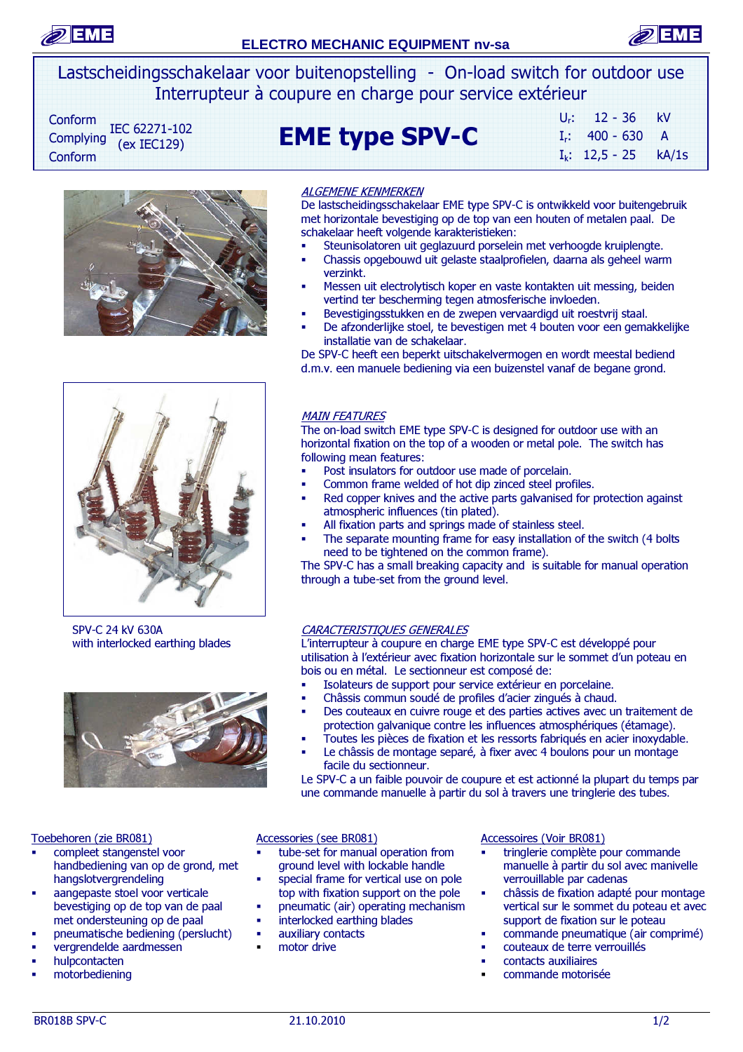



Lastscheidingsschakelaar voor buitenopstelling - On-load switch for outdoor use Interrupteur à coupure en charge pour service extérieur

Conform IEC 62271-102  $(ex IEC129)$ Conform

# $\text{Complexing}$   $\text{EC}$  622/1-102 **EME type SPV-C**

| $U_{r}$ : | $12 - 36$         | kV    |
|-----------|-------------------|-------|
|           | $I_r$ : 400 - 630 | A     |
|           | $I_k$ : 12,5 - 25 | kA/1s |



#### ALGEMENE KENMERKEN

De lastscheidingsschakelaar EME type SPV-C is ontwikkeld voor buitengebruik met horizontale bevestiging op de top van een houten of metalen paal. De schakelaar heeft volgende karakteristieken:

- Steunisolatoren uit geglazuurd porselein met verhoogde kruiplengte.
- Chassis opgebouwd uit gelaste staalprofielen, daarna als geheel warm verzinkt.
- Messen uit electrolytisch koper en vaste kontakten uit messing, beiden vertind ter bescherming tegen atmosferische invloeden.
- Bevestigingsstukken en de zwepen vervaardigd uit roestvrij staal.
- De afzonderlijke stoel, te bevestigen met 4 bouten voor een gemakkelijke installatie van de schakelaar.

De SPV-C heeft een beperkt uitschakelvermogen en wordt meestal bediend d.m.v. een manuele bediening via een buizenstel vanaf de begane grond.



SPV-C 24 kV 630A with interlocked earthing blades



#### Toebehoren (zie BR081)

- compleet stangenstel voor handbediening van op de grond, met hangslotvergrendeling
- aangepaste stoel voor verticale bevestiging op de top van de paal met ondersteuning op de paal
- pneumatische bediening (perslucht)
- vergrendelde aardmessen
- hulpcontacten
- motorbediening

#### MAIN FEATURES

The on-load switch EME type SPV-C is designed for outdoor use with an horizontal fixation on the top of a wooden or metal pole. The switch has following mean features:

- Post insulators for outdoor use made of porcelain.
- Common frame welded of hot dip zinced steel profiles.
- Red copper knives and the active parts galvanised for protection against atmospheric influences (tin plated).
- All fixation parts and springs made of stainless steel.
- The separate mounting frame for easy installation of the switch (4 bolts need to be tightened on the common frame).

The SPV-C has a small breaking capacity and is suitable for manual operation through a tube-set from the ground level.

#### CARACTERISTIQUES GENERALES

L'interrupteur à coupure en charge EME type SPV-C est développé pour utilisation à l'extérieur avec fixation horizontale sur le sommet d'un poteau en bois ou en métal. Le sectionneur est composé de:

- Isolateurs de support pour service extérieur en porcelaine.
- Châssis commun soudé de profiles d'acier zingués à chaud.
- Des couteaux en cuivre rouge et des parties actives avec un traitement de protection galvanique contre les influences atmosphériques (étamage).
- Toutes les pièces de fixation et les ressorts fabriqués en acier inoxydable. Le châssis de montage separé, à fixer avec 4 boulons pour un montage facile du sectionneur.

Le SPV-C a un faible pouvoir de coupure et est actionné la plupart du temps par une commande manuelle à partir du sol à travers une tringlerie des tubes.

#### Accessories (see BR081)

- tube-set for manual operation from ground level with lockable handle
- **special frame for vertical use on pole** top with fixation support on the pole
- pneumatic (air) operating mechanism interlocked earthing blades
- auxiliary contacts
- motor drive

#### Accessoires (Voir BR081)

- tringlerie complète pour commande manuelle à partir du sol avec manivelle verrouillable par cadenas
- châssis de fixation adapté pour montage vertical sur le sommet du poteau et avec support de fixation sur le poteau
- commande pneumatique (air comprimé)
- couteaux de terre verrouillés
- contacts auxiliaires
- commande motorisée